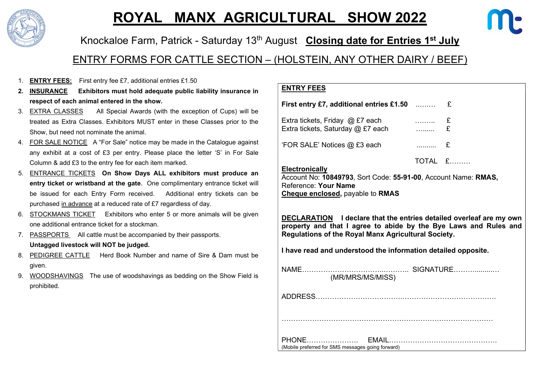

# ROYAL MANX AGRICULTURAL SHOW 2022



## Knockaloe Farm, Patrick - Saturday 13<sup>th</sup> August Closing date for Entries 1<sup>st</sup> July

### ENTRY FORMS FOR CATTLE SECTION – (HOLSTEIN, ANY OTHER DAIRY / BEEF)

- 1. **ENTRY FEES:** First entry fee £7, additional entries £1.50
- 2. INSURANCE Exhibitors must hold adequate public liability insurance in respect of each animal entered in the show.
- 3. EXTRA CLASSES All Special Awards (with the exception of Cups) will be treated as Extra Classes. Exhibitors MUST enter in these Classes prior to the Show, but need not nominate the animal.
- 4. FOR SALE NOTICE A "For Sale" notice may be made in the Catalogue against any exhibit at a cost of £3 per entry. Please place the letter 'S' in For Sale Column & add £3 to the entry fee for each item marked.
- 5. ENTRANCE TICKETS On Show Days ALL exhibitors must produce an entry ticket or wristband at the gate. One complimentary entrance ticket will be issued for each Entry Form received. Additional entry tickets can be purchased in advance at a reduced rate of £7 regardless of day.
- 6. STOCKMANS TICKET Exhibitors who enter 5 or more animals will be given one additional entrance ticket for a stockman.
- 7. PASSPORTS All cattle must be accompanied by their passports. Untagged livestock will NOT be judged.
- 8. PEDIGREE CATTLE Herd Book Number and name of Sire & Dam must be given.
- 9. WOODSHAVINGS The use of woodshavings as bedding on the Show Field is prohibited.

#### ENTRY FEES

| First entry £7, additional entries £1.50 $\ldots$                    |   |         |  |
|----------------------------------------------------------------------|---|---------|--|
| Extra tickets, Friday @ £7 each<br>Extra tickets, Saturday @ £7 each |   |         |  |
| 'FOR SALE' Notices @ £3 each                                         | . | E       |  |
|                                                                      |   | TOTAL £ |  |

#### **Electronically**

Account No: 10849793, Sort Code: 55-91-00, Account Name: RMAS, Reference: Your Name Cheque enclosed, payable to RMAS

DECLARATION I declare that the entries detailed overleaf are my own property and that I agree to abide by the Bye Laws and Rules and Regulations of the Royal Manx Agricultural Society.

I have read and understood the information detailed opposite.

| (MR/MRS/MS/MISS)                                  | SIGNATURE |
|---------------------------------------------------|-----------|
|                                                   |           |
|                                                   |           |
| (Mobile preferred for SMS messages going forward) |           |